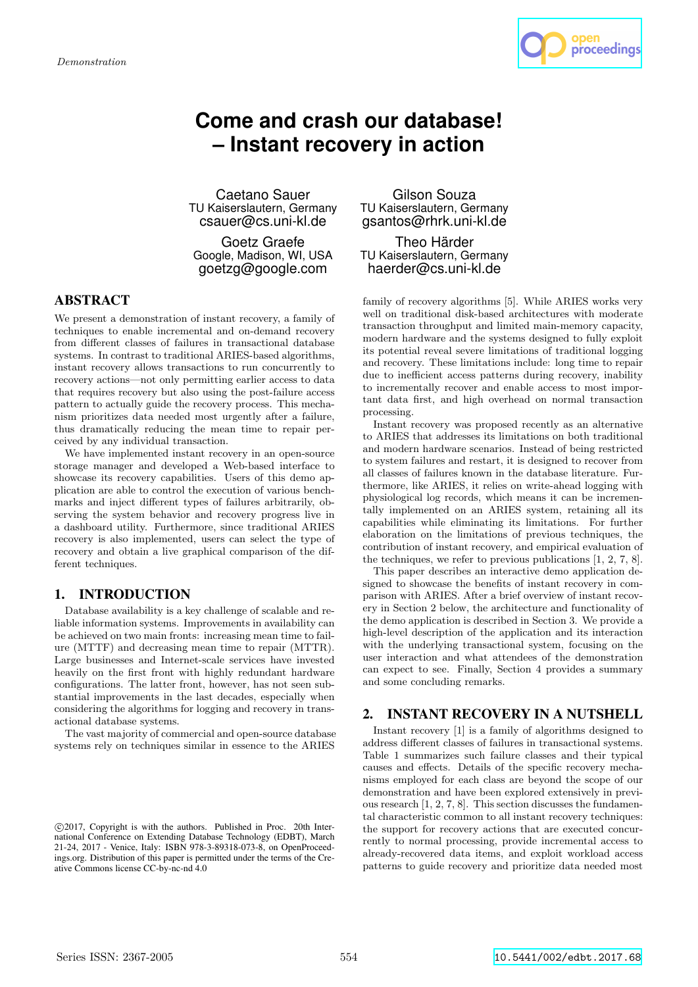

# **Come and crash our database! – Instant recovery in action**

Caetano Sauer TU Kaiserslautern, Germany csauer@cs.uni-kl.de

Goetz Graefe Google, Madison, WI, USA goetzg@google.com

## ABSTRACT

We present a demonstration of instant recovery, a family of techniques to enable incremental and on-demand recovery from different classes of failures in transactional database systems. In contrast to traditional ARIES-based algorithms, instant recovery allows transactions to run concurrently to recovery actions—not only permitting earlier access to data that requires recovery but also using the post-failure access pattern to actually guide the recovery process. This mechanism prioritizes data needed most urgently after a failure, thus dramatically reducing the mean time to repair perceived by any individual transaction.

We have implemented instant recovery in an open-source storage manager and developed a Web-based interface to showcase its recovery capabilities. Users of this demo application are able to control the execution of various benchmarks and inject different types of failures arbitrarily, observing the system behavior and recovery progress live in a dashboard utility. Furthermore, since traditional ARIES recovery is also implemented, users can select the type of recovery and obtain a live graphical comparison of the different techniques.

## 1. INTRODUCTION

Database availability is a key challenge of scalable and reliable information systems. Improvements in availability can be achieved on two main fronts: increasing mean time to failure (MTTF) and decreasing mean time to repair (MTTR). Large businesses and Internet-scale services have invested heavily on the first front with highly redundant hardware configurations. The latter front, however, has not seen substantial improvements in the last decades, especially when considering the algorithms for logging and recovery in transactional database systems.

The vast majority of commercial and open-source database systems rely on techniques similar in essence to the ARIES

Gilson Souza TU Kaiserslautern, Germany gsantos@rhrk.uni-kl.de

Theo Härder TU Kaiserslautern, Germany haerder@cs.uni-kl.de

family of recovery algorithms [5]. While ARIES works very well on traditional disk-based architectures with moderate transaction throughput and limited main-memory capacity, modern hardware and the systems designed to fully exploit its potential reveal severe limitations of traditional logging and recovery. These limitations include: long time to repair due to inefficient access patterns during recovery, inability to incrementally recover and enable access to most important data first, and high overhead on normal transaction processing.

Instant recovery was proposed recently as an alternative to ARIES that addresses its limitations on both traditional and modern hardware scenarios. Instead of being restricted to system failures and restart, it is designed to recover from all classes of failures known in the database literature. Furthermore, like ARIES, it relies on write-ahead logging with physiological log records, which means it can be incrementally implemented on an ARIES system, retaining all its capabilities while eliminating its limitations. For further elaboration on the limitations of previous techniques, the contribution of instant recovery, and empirical evaluation of the techniques, we refer to previous publications [1, 2, 7, 8].

This paper describes an interactive demo application designed to showcase the benefits of instant recovery in comparison with ARIES. After a brief overview of instant recovery in Section 2 below, the architecture and functionality of the demo application is described in Section 3. We provide a high-level description of the application and its interaction with the underlying transactional system, focusing on the user interaction and what attendees of the demonstration can expect to see. Finally, Section 4 provides a summary and some concluding remarks.

### 2. INSTANT RECOVERY IN A NUTSHELL

Instant recovery [1] is a family of algorithms designed to address different classes of failures in transactional systems. Table 1 summarizes such failure classes and their typical causes and effects. Details of the specific recovery mechanisms employed for each class are beyond the scope of our demonstration and have been explored extensively in previous research [1, 2, 7, 8]. This section discusses the fundamental characteristic common to all instant recovery techniques: the support for recovery actions that are executed concurrently to normal processing, provide incremental access to already-recovered data items, and exploit workload access patterns to guide recovery and prioritize data needed most

c 2017, Copyright is with the authors. Published in Proc. 20th International Conference on Extending Database Technology (EDBT), March 21-24, 2017 - Venice, Italy: ISBN 978-3-89318-073-8, on OpenProceedings.org. Distribution of this paper is permitted under the terms of the Creative Commons license CC-by-nc-nd 4.0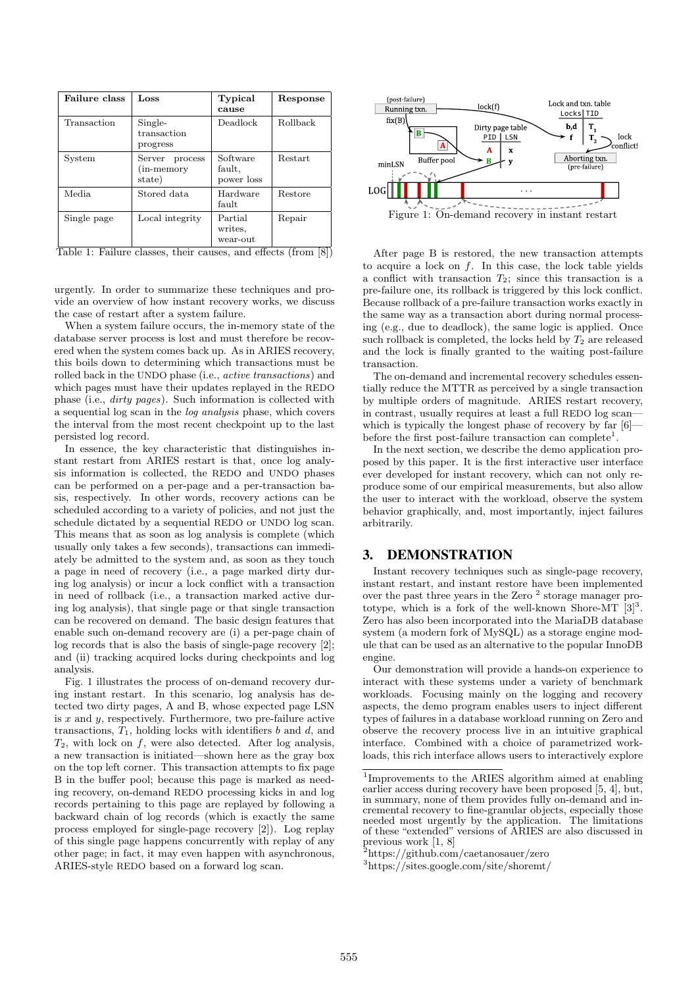| Failure class | Loss                                      | Typical<br>cause                 | Response                                  |
|---------------|-------------------------------------------|----------------------------------|-------------------------------------------|
| Transaction   | Single-<br>transaction<br>progress        | Deadlock                         | <b>Rollback</b>                           |
| System        | Server<br>process<br>(in-memory<br>state) | Software<br>fault,<br>power loss | <b>Restart</b>                            |
| Media.        | Stored data                               | Hardware<br>fault                | Restore                                   |
| Single page   | Local integrity                           | Partial<br>writes.<br>wear-out   | Repair<br>$-$<br>$\overline{\phantom{a}}$ |

Table 1: Failure classes, their causes, and effects (from [8])

urgently. In order to summarize these techniques and provide an overview of how instant recovery works, we discuss the case of restart after a system failure.

When a system failure occurs, the in-memory state of the database server process is lost and must therefore be recovered when the system comes back up. As in ARIES recovery, this boils down to determining which transactions must be rolled back in the UNDO phase (i.e., active transactions) and which pages must have their updates replayed in the REDO phase (i.e., dirty pages). Such information is collected with a sequential log scan in the log analysis phase, which covers the interval from the most recent checkpoint up to the last persisted log record.

In essence, the key characteristic that distinguishes instant restart from ARIES restart is that, once log analysis information is collected, the REDO and UNDO phases can be performed on a per-page and a per-transaction basis, respectively. In other words, recovery actions can be scheduled according to a variety of policies, and not just the schedule dictated by a sequential REDO or UNDO log scan. This means that as soon as log analysis is complete (which usually only takes a few seconds), transactions can immediately be admitted to the system and, as soon as they touch a page in need of recovery (i.e., a page marked dirty during log analysis) or incur a lock conflict with a transaction in need of rollback (i.e., a transaction marked active during log analysis), that single page or that single transaction can be recovered on demand. The basic design features that enable such on-demand recovery are (i) a per-page chain of log records that is also the basis of single-page recovery [2]; and (ii) tracking acquired locks during checkpoints and log analysis.

Fig. 1 illustrates the process of on-demand recovery during instant restart. In this scenario, log analysis has detected two dirty pages, A and B, whose expected page LSN is  $x$  and  $y$ , respectively. Furthermore, two pre-failure active transactions,  $T_1$ , holding locks with identifiers b and d, and  $T_2$ , with lock on f, were also detected. After log analysis, a new transaction is initiated—shown here as the gray box on the top left corner. This transaction attempts to fix page B in the buffer pool; because this page is marked as needing recovery, on-demand REDO processing kicks in and log records pertaining to this page are replayed by following a backward chain of log records (which is exactly the same process employed for single-page recovery [2]). Log replay of this single page happens concurrently with replay of any other page; in fact, it may even happen with asynchronous, ARIES-style REDO based on a forward log scan.



Figure 1: On-demand recovery in instant restart

After page B is restored, the new transaction attempts to acquire a lock on  $f$ . In this case, the lock table yields a conflict with transaction  $T_2$ ; since this transaction is a pre-failure one, its rollback is triggered by this lock conflict. Because rollback of a pre-failure transaction works exactly in the same way as a transaction abort during normal processing (e.g., due to deadlock), the same logic is applied. Once such rollback is completed, the locks held by  $T_2$  are released and the lock is finally granted to the waiting post-failure transaction.

The on-demand and incremental recovery schedules essentially reduce the MTTR as perceived by a single transaction by multiple orders of magnitude. ARIES restart recovery, in contrast, usually requires at least a full REDO log scan which is typically the longest phase of recovery by far  $[6]$ before the first post-failure transaction can complete<sup>1</sup>.

In the next section, we describe the demo application proposed by this paper. It is the first interactive user interface ever developed for instant recovery, which can not only reproduce some of our empirical measurements, but also allow the user to interact with the workload, observe the system behavior graphically, and, most importantly, inject failures arbitrarily.

## 3. DEMONSTRATION

Instant recovery techniques such as single-page recovery, instant restart, and instant restore have been implemented over the past three years in the Zero<sup>2</sup> storage manager prototype, which is a fork of the well-known Shore-MT  $[3]^3$ . Zero has also been incorporated into the MariaDB database system (a modern fork of MySQL) as a storage engine module that can be used as an alternative to the popular InnoDB engine.

Our demonstration will provide a hands-on experience to interact with these systems under a variety of benchmark workloads. Focusing mainly on the logging and recovery aspects, the demo program enables users to inject different types of failures in a database workload running on Zero and observe the recovery process live in an intuitive graphical interface. Combined with a choice of parametrized workloads, this rich interface allows users to interactively explore

<sup>1</sup> Improvements to the ARIES algorithm aimed at enabling earlier access during recovery have been proposed [5, 4], but, in summary, none of them provides fully on-demand and incremental recovery to fine-granular objects, especially those needed most urgently by the application. The limitations of these "extended" versions of ARIES are also discussed in previous work [1, 8]

<sup>2</sup>https://github.com/caetanosauer/zero

<sup>3</sup>https://sites.google.com/site/shoremt/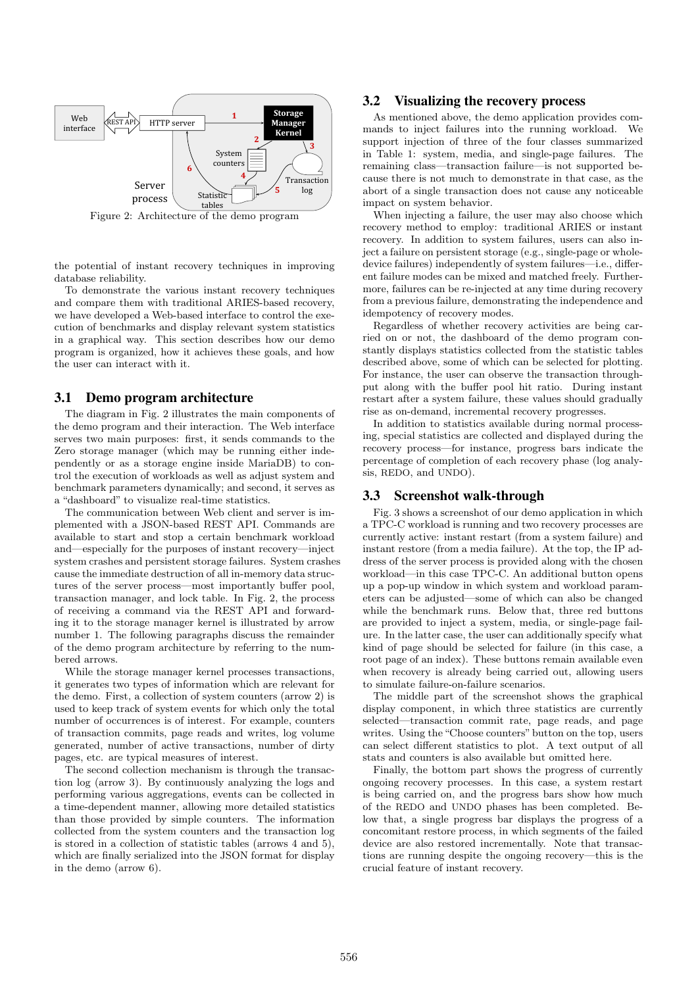

Figure 2: Architecture of the demo program

the potential of instant recovery techniques in improving database reliability.

To demonstrate the various instant recovery techniques and compare them with traditional ARIES-based recovery, we have developed a Web-based interface to control the execution of benchmarks and display relevant system statistics in a graphical way. This section describes how our demo program is organized, how it achieves these goals, and how the user can interact with it.

#### 3.1 Demo program architecture

The diagram in Fig. 2 illustrates the main components of the demo program and their interaction. The Web interface serves two main purposes: first, it sends commands to the Zero storage manager (which may be running either independently or as a storage engine inside MariaDB) to control the execution of workloads as well as adjust system and benchmark parameters dynamically; and second, it serves as a "dashboard" to visualize real-time statistics.

The communication between Web client and server is implemented with a JSON-based REST API. Commands are available to start and stop a certain benchmark workload and—especially for the purposes of instant recovery—inject system crashes and persistent storage failures. System crashes cause the immediate destruction of all in-memory data structures of the server process—most importantly buffer pool, transaction manager, and lock table. In Fig. 2, the process of receiving a command via the REST API and forwarding it to the storage manager kernel is illustrated by arrow number 1. The following paragraphs discuss the remainder of the demo program architecture by referring to the numbered arrows.

While the storage manager kernel processes transactions, it generates two types of information which are relevant for the demo. First, a collection of system counters (arrow 2) is used to keep track of system events for which only the total number of occurrences is of interest. For example, counters of transaction commits, page reads and writes, log volume generated, number of active transactions, number of dirty pages, etc. are typical measures of interest.

The second collection mechanism is through the transaction log (arrow 3). By continuously analyzing the logs and performing various aggregations, events can be collected in a time-dependent manner, allowing more detailed statistics than those provided by simple counters. The information collected from the system counters and the transaction log is stored in a collection of statistic tables (arrows 4 and 5), which are finally serialized into the JSON format for display in the demo (arrow 6).

#### 3.2 Visualizing the recovery process

As mentioned above, the demo application provides commands to inject failures into the running workload. We support injection of three of the four classes summarized in Table 1: system, media, and single-page failures. The remaining class—transaction failure—is not supported because there is not much to demonstrate in that case, as the abort of a single transaction does not cause any noticeable impact on system behavior.

When injecting a failure, the user may also choose which recovery method to employ: traditional ARIES or instant recovery. In addition to system failures, users can also inject a failure on persistent storage (e.g., single-page or wholedevice failures) independently of system failures—i.e., different failure modes can be mixed and matched freely. Furthermore, failures can be re-injected at any time during recovery from a previous failure, demonstrating the independence and idempotency of recovery modes.

Regardless of whether recovery activities are being carried on or not, the dashboard of the demo program constantly displays statistics collected from the statistic tables described above, some of which can be selected for plotting. For instance, the user can observe the transaction throughput along with the buffer pool hit ratio. During instant restart after a system failure, these values should gradually rise as on-demand, incremental recovery progresses.

In addition to statistics available during normal processing, special statistics are collected and displayed during the recovery process—for instance, progress bars indicate the percentage of completion of each recovery phase (log analysis, REDO, and UNDO).

#### 3.3 Screenshot walk-through

Fig. 3 shows a screenshot of our demo application in which a TPC-C workload is running and two recovery processes are currently active: instant restart (from a system failure) and instant restore (from a media failure). At the top, the IP address of the server process is provided along with the chosen workload—in this case TPC-C. An additional button opens up a pop-up window in which system and workload parameters can be adjusted—some of which can also be changed while the benchmark runs. Below that, three red buttons are provided to inject a system, media, or single-page failure. In the latter case, the user can additionally specify what kind of page should be selected for failure (in this case, a root page of an index). These buttons remain available even when recovery is already being carried out, allowing users to simulate failure-on-failure scenarios.

The middle part of the screenshot shows the graphical display component, in which three statistics are currently selected—transaction commit rate, page reads, and page writes. Using the "Choose counters" button on the top, users can select different statistics to plot. A text output of all stats and counters is also available but omitted here.

Finally, the bottom part shows the progress of currently ongoing recovery processes. In this case, a system restart is being carried on, and the progress bars show how much of the REDO and UNDO phases has been completed. Below that, a single progress bar displays the progress of a concomitant restore process, in which segments of the failed device are also restored incrementally. Note that transactions are running despite the ongoing recovery—this is the crucial feature of instant recovery.